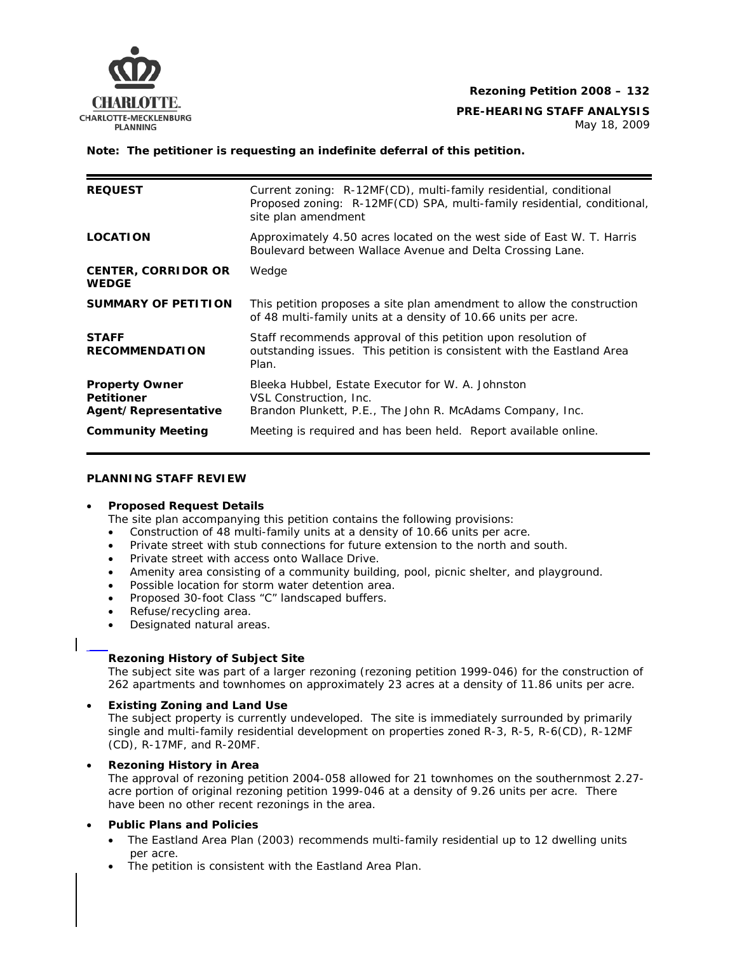

**PRE-HEARING STAFF ANALYSIS**<br>CHARLOTTE-MECKLENBURG

### **Note: The petitioner is requesting an indefinite deferral of this petition.**

| <b>REQUEST</b>                                                     | Current zoning: R-12MF(CD), multi-family residential, conditional<br>Proposed zoning: R-12MF(CD) SPA, multi-family residential, conditional,<br>site plan amendment |
|--------------------------------------------------------------------|---------------------------------------------------------------------------------------------------------------------------------------------------------------------|
| <b>LOCATION</b>                                                    | Approximately 4.50 acres located on the west side of East W. T. Harris<br>Boulevard between Wallace Avenue and Delta Crossing Lane.                                 |
| <b>CENTER, CORRIDOR OR</b><br><b>WEDGE</b>                         | Wedge                                                                                                                                                               |
| <b>SUMMARY OF PETITION</b>                                         | This petition proposes a site plan amendment to allow the construction<br>of 48 multi-family units at a density of 10.66 units per acre.                            |
| <b>STAFF</b><br><b>RECOMMENDATION</b>                              | Staff recommends approval of this petition upon resolution of<br>outstanding issues. This petition is consistent with the Eastland Area<br>Plan.                    |
| <b>Property Owner</b><br><b>Petitioner</b><br>Agent/Representative | Bleeka Hubbel, Estate Executor for W. A. Johnston<br>VSL Construction, Inc.<br>Brandon Plunkett, P.E., The John R. McAdams Company, Inc.                            |
| <b>Community Meeting</b>                                           | Meeting is required and has been held. Report available online.                                                                                                     |

### **PLANNING STAFF REVIEW**

### • **Proposed Request Details**

The site plan accompanying this petition contains the following provisions:

- Construction of 48 multi-family units at a density of 10.66 units per acre.
- Private street with stub connections for future extension to the north and south.
- Private street with access onto Wallace Drive.
- Amenity area consisting of a community building, pool, picnic shelter, and playground.
- Possible location for storm water detention area.
- Proposed 30-foot Class "C" landscaped buffers.
- Refuse/recycling area.
- Designated natural areas.

# **Rezoning History of Subject Site**

The subject site was part of a larger rezoning (rezoning petition 1999-046) for the construction of 262 apartments and townhomes on approximately 23 acres at a density of 11.86 units per acre.

# • **Existing Zoning and Land Use**

The subject property is currently undeveloped. The site is immediately surrounded by primarily single and multi-family residential development on properties zoned R-3, R-5, R-6(CD), R-12MF (CD), R-17MF, and R-20MF.

### • **Rezoning History in Area**

The approval of rezoning petition 2004-058 allowed for 21 townhomes on the southernmost 2.27 acre portion of original rezoning petition 1999-046 at a density of 9.26 units per acre. There have been no other recent rezonings in the area.

# • **Public Plans and Policies**

- The *Eastland Area Plan* (2003) recommends multi-family residential up to 12 dwelling units per acre.
- The petition is consistent with the *Eastland Area Plan*.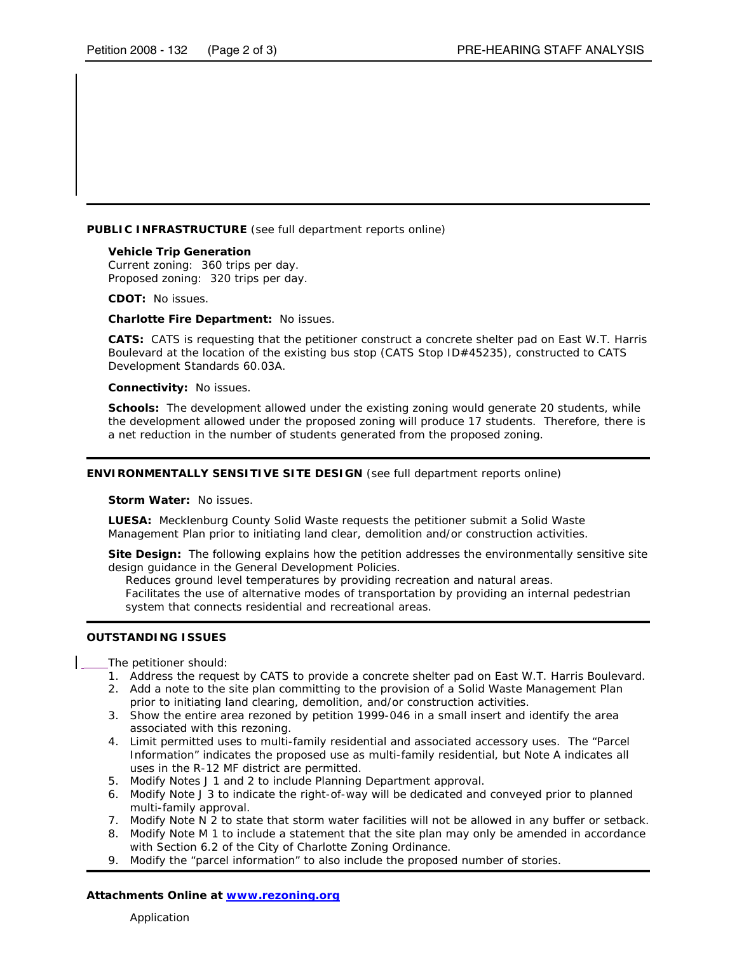**PUBLIC INFRASTRUCTURE** (see full department reports online)

**Vehicle Trip Generation**  Current zoning: 360 trips per day. Proposed zoning: 320 trips per day.

**CDOT:** No issues.

**Charlotte Fire Department:** No issues.

**CATS:** CATS is requesting that the petitioner construct a concrete shelter pad on East W.T. Harris Boulevard at the location of the existing bus stop (CATS Stop ID#45235), constructed to CATS Development Standards 60.03A.

**Connectivity:** No issues.

**Schools:** The development allowed under the existing zoning would generate 20 students, while the development allowed under the proposed zoning will produce 17 students. Therefore, there is a net reduction in the number of students generated from the proposed zoning.

#### **ENVIRONMENTALLY SENSITIVE SITE DESIGN** (see full department reports online)

**Storm Water:** No issues.

**LUESA:** Mecklenburg County Solid Waste requests the petitioner submit a Solid Waste Management Plan prior to initiating land clear, demolition and/or construction activities.

**Site Design:** The following explains how the petition addresses the environmentally sensitive site design guidance in the *General Development Policies*.

Reduces ground level temperatures by providing recreation and natural areas. Facilitates the use of alternative modes of transportation by providing an internal pedestrian system that connects residential and recreational areas.

#### **OUTSTANDING ISSUES**

The petitioner should:

- 1. Address the request by CATS to provide a concrete shelter pad on East W.T. Harris Boulevard.
- 2. Add a note to the site plan committing to the provision of a Solid Waste Management Plan prior to initiating land clearing, demolition, and/or construction activities.
- 3. Show the entire area rezoned by petition 1999-046 in a small insert and identify the area associated with this rezoning.
- 4. Limit permitted uses to multi-family residential and associated accessory uses. The "Parcel Information" indicates the proposed use as multi-family residential, but Note A indicates all uses in the R-12 MF district are permitted.
- 5. Modify Notes J 1 and 2 to include Planning Department approval.
- 6. Modify Note J 3 to indicate the right-of-way will be *dedicated* and conveyed prior to planned multi-family approval.
- 7. Modify Note N 2 to state that storm water facilities will not be allowed in any buffer or setback.
- 8. Modify Note M 1 to include a statement that the site plan may only be amended in accordance with Section 6.2 of the City of Charlotte Zoning Ordinance.
- 9. Modify the "parcel information" to also include the proposed number of stories.

#### **Attachments Online at** *www.rezoning.org*

Application